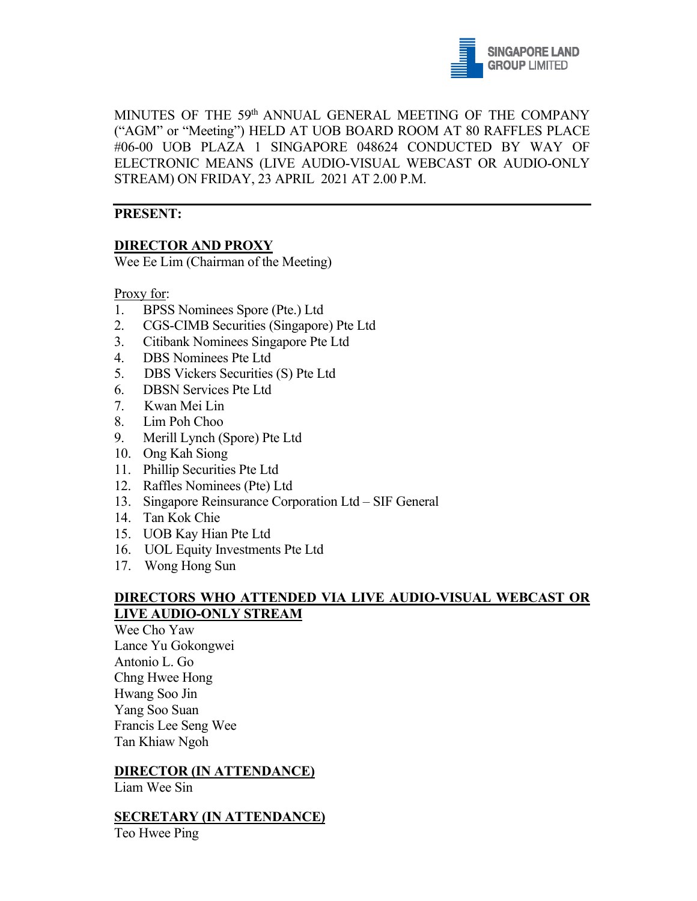

MINUTES OF THE 59th ANNUAL GENERAL MEETING OF THE COMPANY ("AGM" or "Meeting") HELD AT UOB BOARD ROOM AT 80 RAFFLES PLACE #06-00 UOB PLAZA 1 SINGAPORE 048624 CONDUCTED BY WAY OF ELECTRONIC MEANS (LIVE AUDIO-VISUAL WEBCAST OR AUDIO-ONLY STREAM) ON FRIDAY, 23 APRIL 2021 AT 2.00 P.M.

#### **PRESENT:**

## **DIRECTOR AND PROXY**

Wee Ee Lim (Chairman of the Meeting)

Proxy for:

- 1. BPSS Nominees Spore (Pte.) Ltd
- 2. CGS-CIMB Securities (Singapore) Pte Ltd
- 3. Citibank Nominees Singapore Pte Ltd
- 4. DBS Nominees Pte Ltd
- 5. DBS Vickers Securities (S) Pte Ltd
- 6. DBSN Services Pte Ltd
- 7. Kwan Mei Lin
- 8. Lim Poh Choo
- 9. Merill Lynch (Spore) Pte Ltd
- 10. Ong Kah Siong
- 11. Phillip Securities Pte Ltd
- 12. Raffles Nominees (Pte) Ltd
- 13. Singapore Reinsurance Corporation Ltd SIF General
- 14. Tan Kok Chie
- 15. UOB Kay Hian Pte Ltd
- 16. UOL Equity Investments Pte Ltd
- 17. Wong Hong Sun

#### **DIRECTORS WHO ATTENDED VIA LIVE AUDIO-VISUAL WEBCAST OR LIVE AUDIO-ONLY STREAM**

Wee Cho Yaw Lance Yu Gokongwei Antonio L. Go Chng Hwee Hong Hwang Soo Jin Yang Soo Suan Francis Lee Seng Wee Tan Khiaw Ngoh

#### **DIRECTOR (IN ATTENDANCE)**

Liam Wee Sin

#### **SECRETARY (IN ATTENDANCE)**

Teo Hwee Ping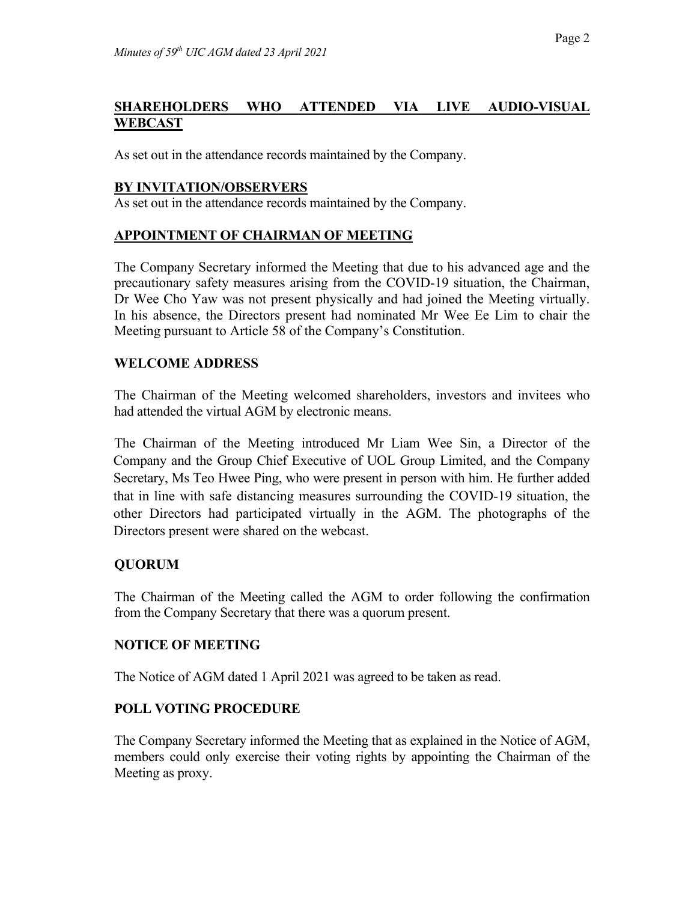## **SHAREHOLDERS WHO ATTENDED VIA LIVE AUDIO-VISUAL WEBCAST**

As set out in the attendance records maintained by the Company.

#### **BY INVITATION/OBSERVERS**

As set out in the attendance records maintained by the Company.

## **APPOINTMENT OF CHAIRMAN OF MEETING**

The Company Secretary informed the Meeting that due to his advanced age and the precautionary safety measures arising from the COVID-19 situation, the Chairman, Dr Wee Cho Yaw was not present physically and had joined the Meeting virtually. In his absence, the Directors present had nominated Mr Wee Ee Lim to chair the Meeting pursuant to Article 58 of the Company's Constitution.

#### **WELCOME ADDRESS**

The Chairman of the Meeting welcomed shareholders, investors and invitees who had attended the virtual AGM by electronic means.

The Chairman of the Meeting introduced Mr Liam Wee Sin, a Director of the Company and the Group Chief Executive of UOL Group Limited, and the Company Secretary, Ms Teo Hwee Ping, who were present in person with him. He further added that in line with safe distancing measures surrounding the COVID-19 situation, the other Directors had participated virtually in the AGM. The photographs of the Directors present were shared on the webcast.

## **QUORUM**

The Chairman of the Meeting called the AGM to order following the confirmation from the Company Secretary that there was a quorum present.

## **NOTICE OF MEETING**

The Notice of AGM dated 1 April 2021 was agreed to be taken as read.

## **POLL VOTING PROCEDURE**

The Company Secretary informed the Meeting that as explained in the Notice of AGM, members could only exercise their voting rights by appointing the Chairman of the Meeting as proxy.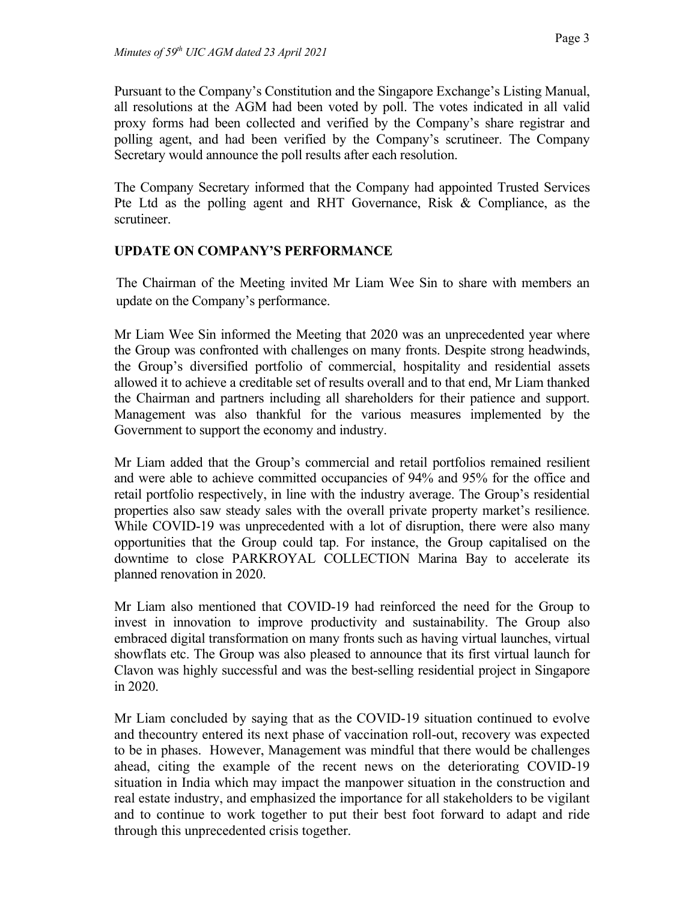Pursuant to the Company's Constitution and the Singapore Exchange's Listing Manual, all resolutions at the AGM had been voted by poll. The votes indicated in all valid proxy forms had been collected and verified by the Company's share registrar and polling agent, and had been verified by the Company's scrutineer. The Company Secretary would announce the poll results after each resolution.

The Company Secretary informed that the Company had appointed Trusted Services Pte Ltd as the polling agent and RHT Governance, Risk & Compliance, as the scrutineer.

## **UPDATE ON COMPANY'S PERFORMANCE**

The Chairman of the Meeting invited Mr Liam Wee Sin to share with members an update on the Company's performance.

Mr Liam Wee Sin informed the Meeting that 2020 was an unprecedented year where the Group was confronted with challenges on many fronts. Despite strong headwinds, the Group's diversified portfolio of commercial, hospitality and residential assets allowed it to achieve a creditable set of results overall and to that end, Mr Liam thanked the Chairman and partners including all shareholders for their patience and support. Management was also thankful for the various measures implemented by the Government to support the economy and industry.

Mr Liam added that the Group's commercial and retail portfolios remained resilient and were able to achieve committed occupancies of 94% and 95% for the office and retail portfolio respectively, in line with the industry average. The Group's residential properties also saw steady sales with the overall private property market's resilience. While COVID-19 was unprecedented with a lot of disruption, there were also many opportunities that the Group could tap. For instance, the Group capitalised on the downtime to close PARKROYAL COLLECTION Marina Bay to accelerate its planned renovation in 2020.

Mr Liam also mentioned that COVID-19 had reinforced the need for the Group to invest in innovation to improve productivity and sustainability. The Group also embraced digital transformation on many fronts such as having virtual launches, virtual showflats etc. The Group was also pleased to announce that its first virtual launch for Clavon was highly successful and was the best-selling residential project in Singapore in 2020.

Mr Liam concluded by saying that as the COVID-19 situation continued to evolve and thecountry entered its next phase of vaccination roll-out, recovery was expected to be in phases. However, Management was mindful that there would be challenges ahead, citing the example of the recent news on the deteriorating COVID-19 situation in India which may impact the manpower situation in the construction and real estate industry, and emphasized the importance for all stakeholders to be vigilant and to continue to work together to put their best foot forward to adapt and ride through this unprecedented crisis together.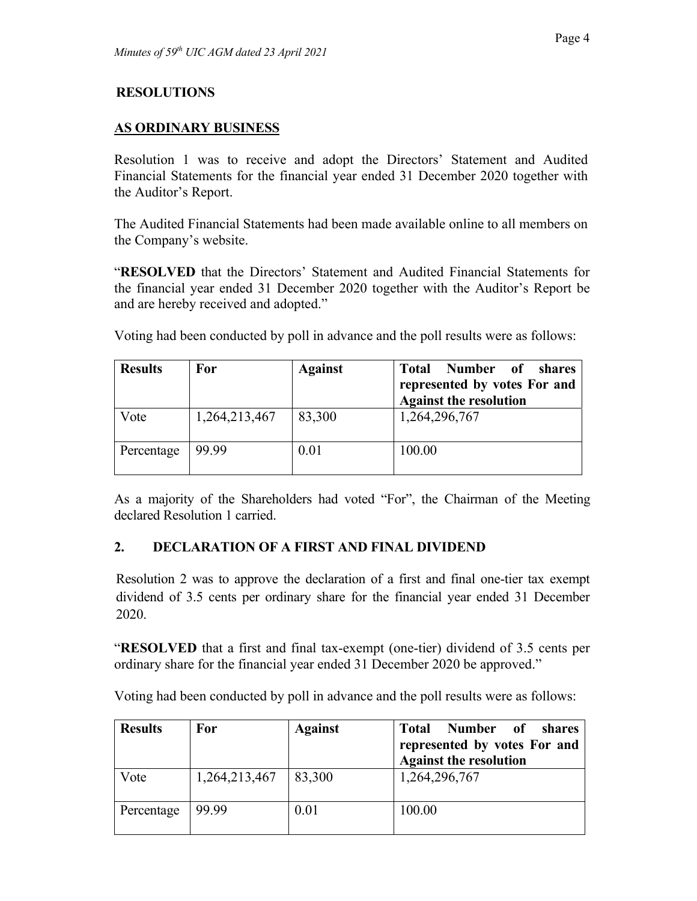## **RESOLUTIONS**

#### **AS ORDINARY BUSINESS**

Resolution 1 was to receive and adopt the Directors' Statement and Audited Financial Statements for the financial year ended 31 December 2020 together with the Auditor's Report.

The Audited Financial Statements had been made available online to all members on the Company's website.

"**RESOLVED** that the Directors' Statement and Audited Financial Statements for the financial year ended 31 December 2020 together with the Auditor's Report be and are hereby received and adopted."

Voting had been conducted by poll in advance and the poll results were as follows:

| <b>Results</b> | For           | <b>Against</b> | Number of shares<br><b>Total</b>                              |
|----------------|---------------|----------------|---------------------------------------------------------------|
|                |               |                | represented by votes For and<br><b>Against the resolution</b> |
| Vote           | 1,264,213,467 | 83,300         | 1,264,296,767                                                 |
| Percentage     | 99.99         | 0.01           | 100.00                                                        |

As a majority of the Shareholders had voted "For", the Chairman of the Meeting declared Resolution 1 carried.

## **2. DECLARATION OF A FIRST AND FINAL DIVIDEND**

Resolution 2 was to approve the declaration of a first and final one-tier tax exempt dividend of 3.5 cents per ordinary share for the financial year ended 31 December 2020.

"**RESOLVED** that a first and final tax-exempt (one-tier) dividend of 3.5 cents per ordinary share for the financial year ended 31 December 2020 be approved."

| <b>Results</b> | For           | <b>Against</b> | Number of<br>shares<br>Total<br>represented by votes For and<br><b>Against the resolution</b> |
|----------------|---------------|----------------|-----------------------------------------------------------------------------------------------|
| Vote           | 1,264,213,467 | 83,300         | 1,264,296,767                                                                                 |
| Percentage     | 99.99         | 0.01           | 100.00                                                                                        |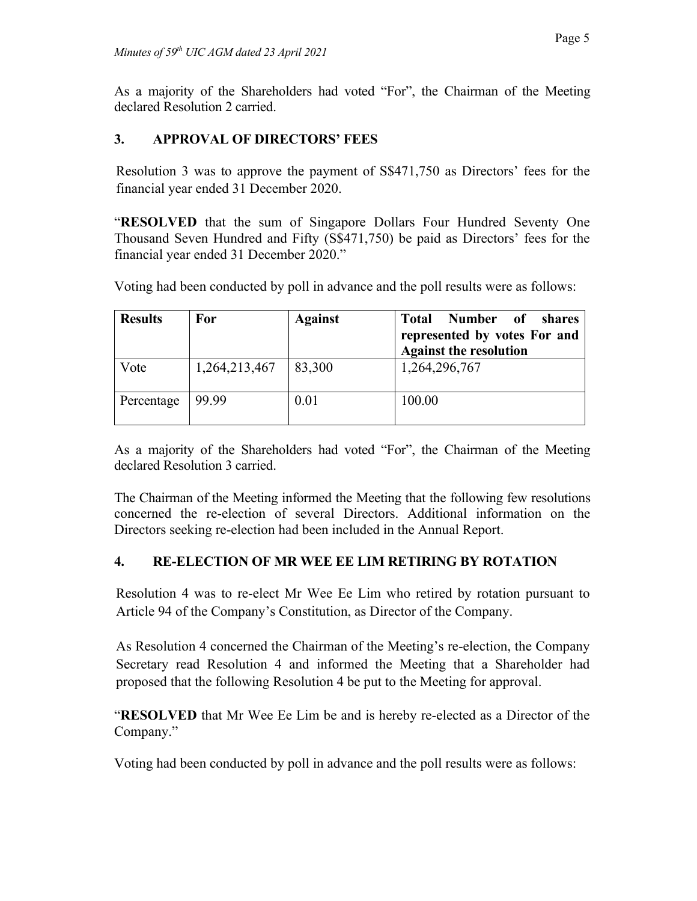As a majority of the Shareholders had voted "For", the Chairman of the Meeting declared Resolution 2 carried.

# **3. APPROVAL OF DIRECTORS' FEES**

Resolution 3 was to approve the payment of S\$471,750 as Directors' fees for the financial year ended 31 December 2020.

"**RESOLVED** that the sum of Singapore Dollars Four Hundred Seventy One Thousand Seven Hundred and Fifty (S\$471,750) be paid as Directors' fees for the financial year ended 31 December 2020."

Voting had been conducted by poll in advance and the poll results were as follows:

| <b>Results</b> | For           | <b>Against</b> | Number of shares<br><b>Total</b><br>represented by votes For and<br><b>Against the resolution</b> |
|----------------|---------------|----------------|---------------------------------------------------------------------------------------------------|
| Vote           | 1,264,213,467 | 83,300         | 1,264,296,767                                                                                     |
| Percentage     | 99.99         | 0.01           | 100.00                                                                                            |

As a majority of the Shareholders had voted "For", the Chairman of the Meeting declared Resolution 3 carried.

The Chairman of the Meeting informed the Meeting that the following few resolutions concerned the re-election of several Directors. Additional information on the Directors seeking re-election had been included in the Annual Report.

## **4. RE-ELECTION OF MR WEE EE LIM RETIRING BY ROTATION**

Resolution 4 was to re-elect Mr Wee Ee Lim who retired by rotation pursuant to Article 94 of the Company's Constitution, as Director of the Company.

As Resolution 4 concerned the Chairman of the Meeting's re-election, the Company Secretary read Resolution 4 and informed the Meeting that a Shareholder had proposed that the following Resolution 4 be put to the Meeting for approval.

"**RESOLVED** that Mr Wee Ee Lim be and is hereby re-elected as a Director of the Company."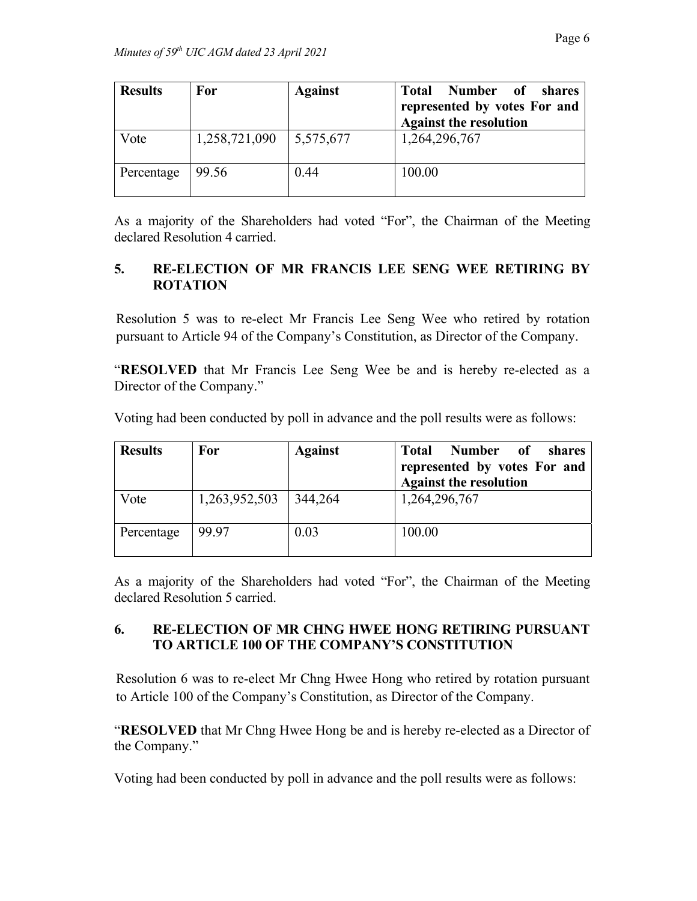| <b>Results</b> | For           | <b>Against</b> | Number of<br>Total<br>shares<br>represented by votes For and<br><b>Against the resolution</b> |
|----------------|---------------|----------------|-----------------------------------------------------------------------------------------------|
| Vote           | 1,258,721,090 | 5,575,677      | 1,264,296,767                                                                                 |
| Percentage     | 99.56         | 0.44           | 100.00                                                                                        |

As a majority of the Shareholders had voted "For", the Chairman of the Meeting declared Resolution 4 carried.

## **5. RE-ELECTION OF MR FRANCIS LEE SENG WEE RETIRING BY ROTATION**

Resolution 5 was to re-elect Mr Francis Lee Seng Wee who retired by rotation pursuant to Article 94 of the Company's Constitution, as Director of the Company.

"**RESOLVED** that Mr Francis Lee Seng Wee be and is hereby re-elected as a Director of the Company."

Voting had been conducted by poll in advance and the poll results were as follows:

| <b>Results</b> | For           | <b>Against</b> | <b>Number</b><br><b>Total</b><br><sub>of</sub><br>shares<br>represented by votes For and<br><b>Against the resolution</b> |
|----------------|---------------|----------------|---------------------------------------------------------------------------------------------------------------------------|
| Vote           | 1,263,952,503 | 344,264        | 1,264,296,767                                                                                                             |
| Percentage     | 99.97         | 0.03           | 100.00                                                                                                                    |

As a majority of the Shareholders had voted "For", the Chairman of the Meeting declared Resolution 5 carried.

# **6. RE-ELECTION OF MR CHNG HWEE HONG RETIRING PURSUANT TO ARTICLE 100 OF THE COMPANY'S CONSTITUTION**

Resolution 6 was to re-elect Mr Chng Hwee Hong who retired by rotation pursuant to Article 100 of the Company's Constitution, as Director of the Company.

"**RESOLVED** that Mr Chng Hwee Hong be and is hereby re-elected as a Director of the Company."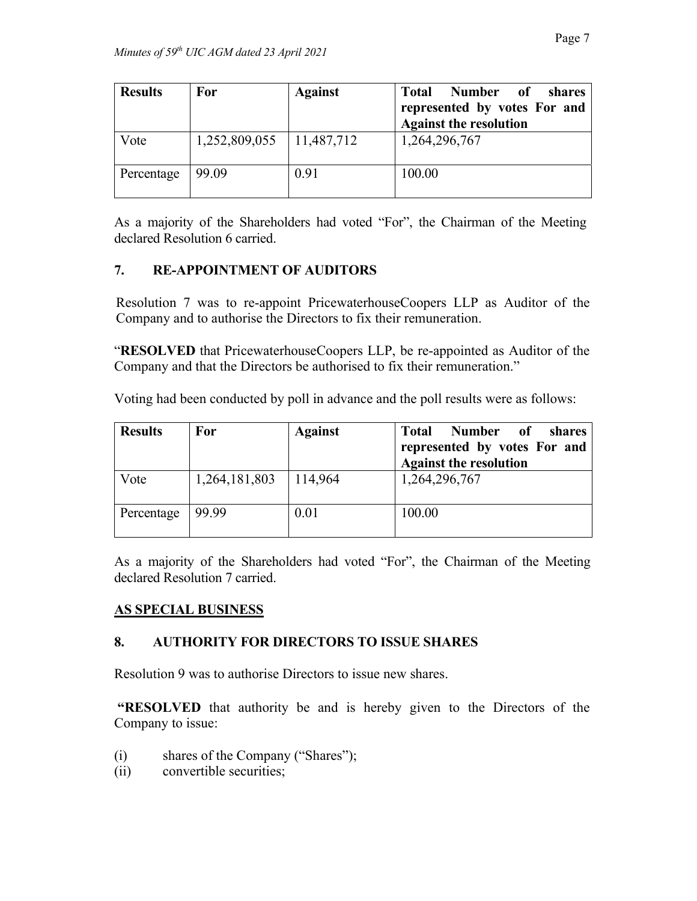| <b>Results</b> | For           | <b>Against</b> | Number of<br><b>Total</b><br>shares<br>represented by votes For and<br><b>Against the resolution</b> |
|----------------|---------------|----------------|------------------------------------------------------------------------------------------------------|
| Vote           | 1,252,809,055 | 11,487,712     | 1,264,296,767                                                                                        |
| Percentage     | 99.09         | 0.91           | 100.00                                                                                               |

As a majority of the Shareholders had voted "For", the Chairman of the Meeting declared Resolution 6 carried.

## **7. RE-APPOINTMENT OF AUDITORS**

Resolution 7 was to re-appoint PricewaterhouseCoopers LLP as Auditor of the Company and to authorise the Directors to fix their remuneration.

"**RESOLVED** that PricewaterhouseCoopers LLP, be re-appointed as Auditor of the Company and that the Directors be authorised to fix their remuneration."

Voting had been conducted by poll in advance and the poll results were as follows:

| <b>Results</b> | For           | <b>Against</b> | <b>Number</b><br><b>Total</b><br>0f<br>shares<br>represented by votes For and<br><b>Against the resolution</b> |
|----------------|---------------|----------------|----------------------------------------------------------------------------------------------------------------|
| Vote           | 1,264,181,803 | 114,964        | 1,264,296,767                                                                                                  |
| Percentage     | 99.99         | 0.01           | 100.00                                                                                                         |

As a majority of the Shareholders had voted "For", the Chairman of the Meeting declared Resolution 7 carried.

## **AS SPECIAL BUSINESS**

## **8. AUTHORITY FOR DIRECTORS TO ISSUE SHARES**

Resolution 9 was to authorise Directors to issue new shares.

**"RESOLVED** that authority be and is hereby given to the Directors of the Company to issue:

- (i) shares of the Company ("Shares");
- (ii) convertible securities;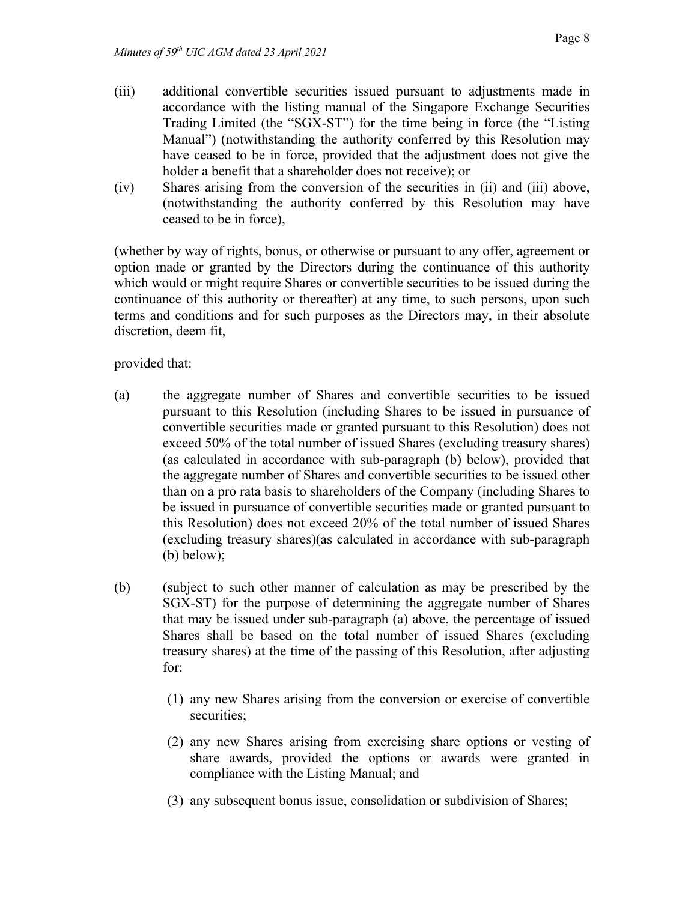- (iii) additional convertible securities issued pursuant to adjustments made in accordance with the listing manual of the Singapore Exchange Securities Trading Limited (the "SGX-ST") for the time being in force (the "Listing Manual") (notwithstanding the authority conferred by this Resolution may have ceased to be in force, provided that the adjustment does not give the holder a benefit that a shareholder does not receive); or
- (iv) Shares arising from the conversion of the securities in (ii) and (iii) above, (notwithstanding the authority conferred by this Resolution may have ceased to be in force),

(whether by way of rights, bonus, or otherwise or pursuant to any offer, agreement or option made or granted by the Directors during the continuance of this authority which would or might require Shares or convertible securities to be issued during the continuance of this authority or thereafter) at any time, to such persons, upon such terms and conditions and for such purposes as the Directors may, in their absolute discretion, deem fit,

provided that:

- (a) the aggregate number of Shares and convertible securities to be issued pursuant to this Resolution (including Shares to be issued in pursuance of convertible securities made or granted pursuant to this Resolution) does not exceed 50% of the total number of issued Shares (excluding treasury shares) (as calculated in accordance with sub-paragraph (b) below), provided that the aggregate number of Shares and convertible securities to be issued other than on a pro rata basis to shareholders of the Company (including Shares to be issued in pursuance of convertible securities made or granted pursuant to this Resolution) does not exceed 20% of the total number of issued Shares (excluding treasury shares)(as calculated in accordance with sub-paragraph (b) below);
- (b) (subject to such other manner of calculation as may be prescribed by the SGX-ST) for the purpose of determining the aggregate number of Shares that may be issued under sub-paragraph (a) above, the percentage of issued Shares shall be based on the total number of issued Shares (excluding treasury shares) at the time of the passing of this Resolution, after adjusting for:
	- (1) any new Shares arising from the conversion or exercise of convertible securities;
	- (2) any new Shares arising from exercising share options or vesting of share awards, provided the options or awards were granted in compliance with the Listing Manual; and
	- (3) any subsequent bonus issue, consolidation or subdivision of Shares;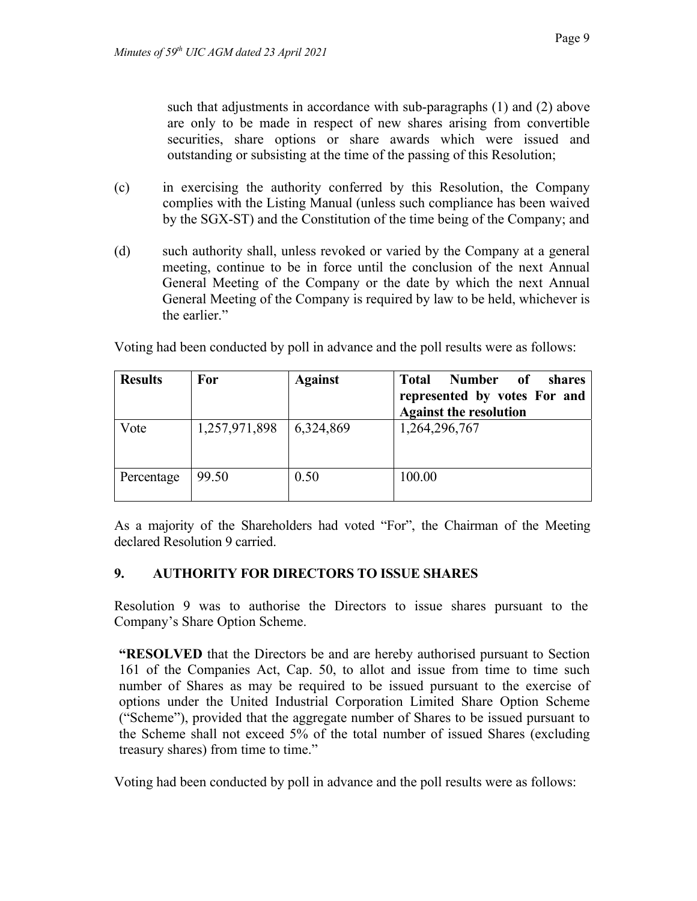such that adjustments in accordance with sub-paragraphs (1) and (2) above are only to be made in respect of new shares arising from convertible securities, share options or share awards which were issued and outstanding or subsisting at the time of the passing of this Resolution;

- (c) in exercising the authority conferred by this Resolution, the Company complies with the Listing Manual (unless such compliance has been waived by the SGX-ST) and the Constitution of the time being of the Company; and
- (d) such authority shall, unless revoked or varied by the Company at a general meeting, continue to be in force until the conclusion of the next Annual General Meeting of the Company or the date by which the next Annual General Meeting of the Company is required by law to be held, whichever is the earlier."

| <b>Results</b> | For                       | <b>Against</b> | Number<br>of<br><b>Total</b><br>shares<br>represented by votes For and<br><b>Against the resolution</b> |
|----------------|---------------------------|----------------|---------------------------------------------------------------------------------------------------------|
| Vote           | 1,257,971,898   6,324,869 |                | 1,264,296,767                                                                                           |

Voting had been conducted by poll in advance and the poll results were as follows:

As a majority of the Shareholders had voted "For", the Chairman of the Meeting declared Resolution 9 carried.

## **9. AUTHORITY FOR DIRECTORS TO ISSUE SHARES**

Percentage 99.50 0.50 100.00

Resolution 9 was to authorise the Directors to issue shares pursuant to the Company's Share Option Scheme.

**"RESOLVED** that the Directors be and are hereby authorised pursuant to Section 161 of the Companies Act, Cap. 50, to allot and issue from time to time such number of Shares as may be required to be issued pursuant to the exercise of options under the United Industrial Corporation Limited Share Option Scheme ("Scheme"), provided that the aggregate number of Shares to be issued pursuant to the Scheme shall not exceed 5% of the total number of issued Shares (excluding treasury shares) from time to time."